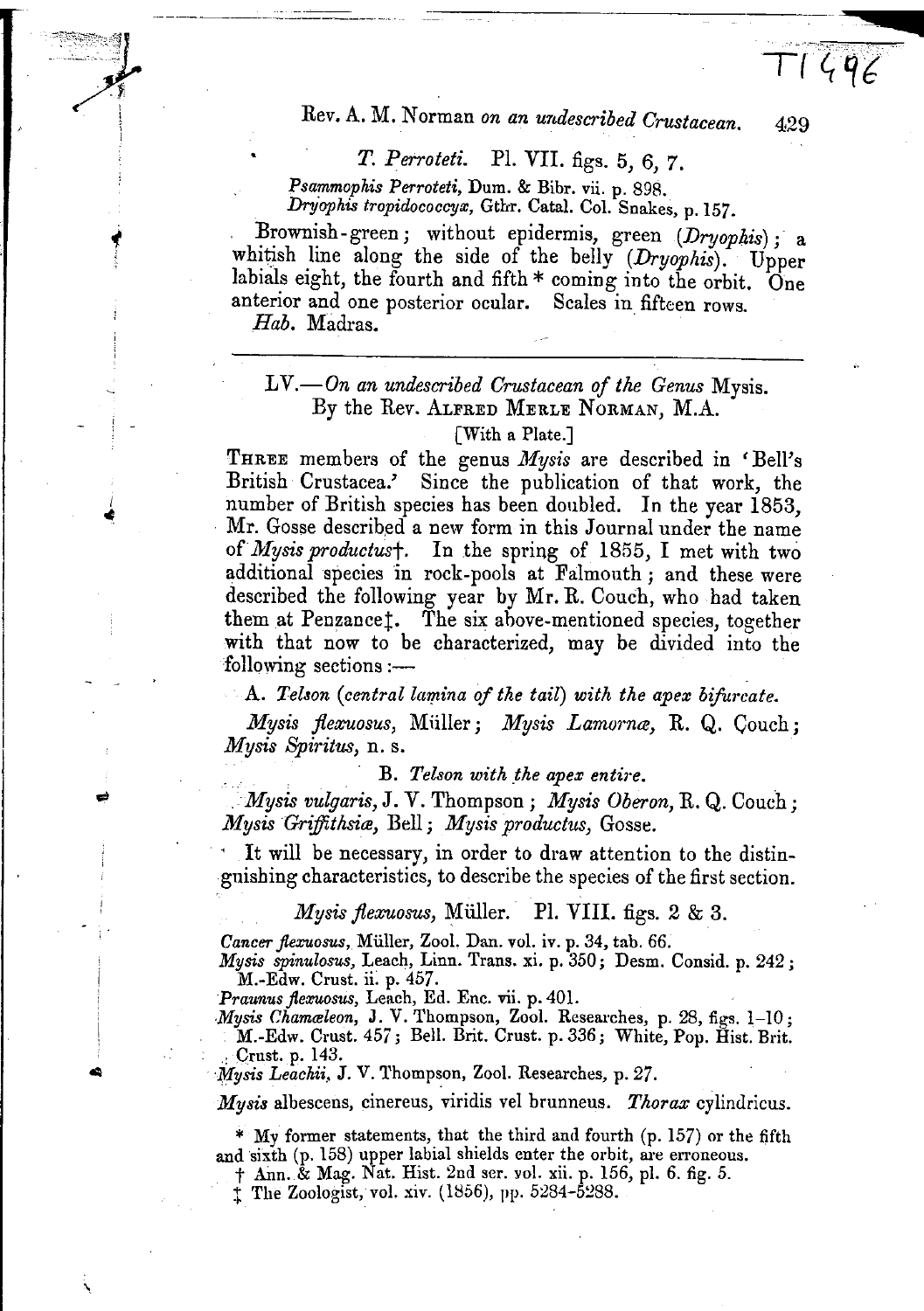Rev. A. M. Norman on an undescribed Crustacean.

T. Perroteti. Pl. VII. figs. 5, 6, 7.

Psammophis Perroteti, Dum. & Bibr. vii. p. 898. Dryophis tropidococcyx, Gthr. Catal. Col. Snakes, p. 157.

Brownish-green; without epidermis, green (Dryophis); a whitish line along the side of the belly (Dryophis). Upper labials eight, the fourth and fifth \* coming into the orbit. One anterior and one posterior ocular. Scales in fifteen rows. Hab. Madras.

 $LV.$  On an undescribed Crustacean of the Genus Mysis. By the Rev. ALFRED MERLE NORMAN, M.A.

## With a Plate.

THREE members of the genus Mysis are described in 'Bell's British Crustacea.' Since the publication of that work, the number of British species has been doubled. In the year 1853, Mr. Gosse described a new form in this Journal under the name of Mysis productus†. In the spring of 1855, I met with two additional species in rock-pools at Falmouth; and these were described the following year by Mr. R. Couch, who had taken them at Penzancet. The six above-mentioned species, together with that now to be characterized, may be divided into the following sections :-

A. Telson (central lamina of the tail) with the apex bifurcate.

Mysis flexuosus, Müller; Mysis Lamorna, R. Q. Couch; Mysis Spiritus, n. s.

B. Telson with the apex entire.

Mysis vulgaris, J. V. Thompson; Mysis Oberon, R. Q. Couch; Mysis Griffithsia, Bell; Mysis productus, Gosse.

It will be necessary, in order to draw attention to the distinguishing characteristics, to describe the species of the first section.

Mysis flexuosus, Müller. Pl. VIII. figs. 2 & 3.

Cancer flexuosus, Müller, Zool. Dan. vol. iv. p. 34, tab. 66.

Mysis spinulosus, Leach, Linn. Trans. xi. p. 350; Desm. Consid. p. 242; M.-Edw. Crust. ii. p. 457.<br>Praunus flexuosus, Leach, Ed. Enc. vii. p. 401.

Mysis Chamaleon, J. V. Thompson, Zool. Researches, p. 28, figs. 1-10; M.-Edw. Crust. 457; Bell. Brit. Crust. p. 336; White, Pop. Hist. Brit. Crust. p. 143.

Mysis Leachii, J. V. Thompson, Zool. Researches, p. 27.

*Mysis* albescens, cinereus, viridis vel brunneus. Thorax cylindricus.

\* My former statements, that the third and fourth (p. 157) or the fifth and sixth (p. 158) upper labial shields enter the orbit, are erroneous.

† Ann. & Mag. Nat. Hist. 2nd ser. vol. xii. p. 156, pl. 6. fig. 5.

<sup>†</sup> The Zoologist, vol. xiv. (1856), pp. 5284-5288.

429

 $T1496$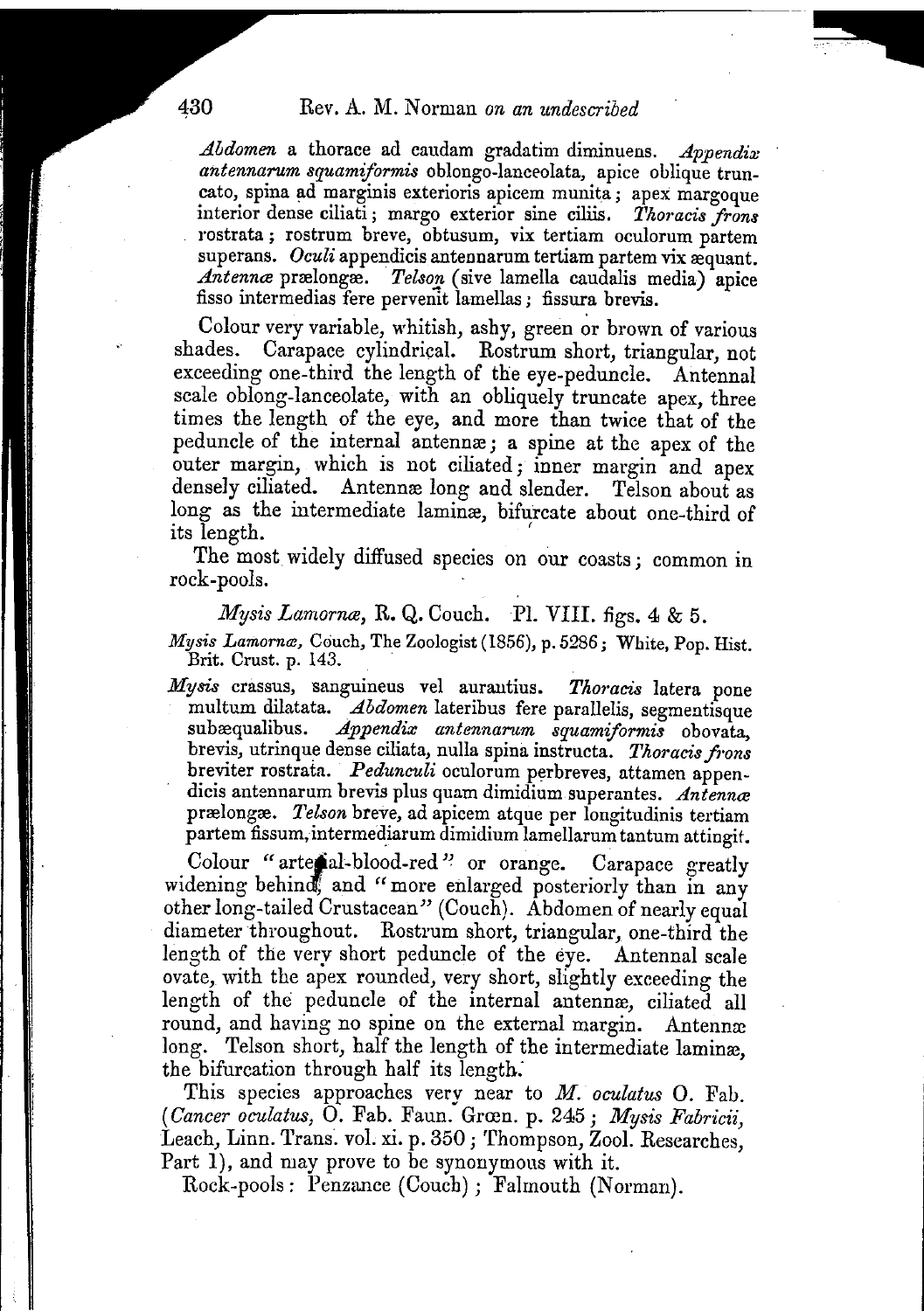~

*.Abdomen* a thorace ad caudam gradatim diminuens. *.Appendix antennarum squamiformis* oblongo-lanceolata, apice oblique truncato, spina ad marginis exterioris apicem munita; apex margoque interior dense ciliati; margo exterior sine ciliis. *Thoracis frons* rostrata; rostrum breve, obtusum, vix tertiam oculorum partem superans. *Oculi* appendicis antennarum tertiam partem vix æquant. *Antenna*e prælongæ. *Telson* (sive lamella caudalis media) apice fisso intermedias fere pervenit lamellas; fissura brevis.

Colour very variable, whitish, ashy, green or brown of various shades. Carapace cylindrical. Rostrum short, triangular, not exceeding one-third the length of the eye-peduncle. Antennal scale oblong-Ianceolate, with an obliquely truncate apex, three times the length of the eye, and more than twice that of the peduncle of the internal antennre; a spine at the apex of the outer margin, which is not ciliated; inner margin and apex densely ciliated. Antennæ long and slender. Telson about as long as the intermediate laminæ, bifurcate about one-third of its length.

The most widely diffused species on our coasts; common in rock-pools.

*Mysis Lamornæ*, R. Q. Couch. Pl. VIII. figs. 4 & 5.

*Mysis Lamornæ,* Couch, The Zoologist (1856), p. 5286; White, Pop. Hist. Brit. Crust. p. 143.

Mysis crassus, sanguineus vel aurantius. Thoracis latera pone multum dilatata. *Abdomen* lateribus fere parallelis, segmentisque subæqualibus. *Appendix antennarum squamiformis* obovata, brevis, utrinque dense ciliata, nulla spina instructa. Thoracis frons breviter rostrata. *Pedunculi* oculorum perbreves, attamen appendicis antennarum brevis plus quam dimidium superantes. *Antenna*e prælongæ. *Telson* breve, ad apicem atque per longitudinis tertiam partem fissum,intermediarum dimidium lamellarum tantum attingit.

Colour "arte al-blood-red" or orange. Carapace greatly widening behind, and "more enlarged posteriorly than in any other long-tailed Crustacean" (Couch). Abdomen of nearly equal diameter throughout. Rostrum short, triangular, one-third the length of the very short peduncle of the eye. Antennal scale ovate, with the apex rounded, very short, slightly exceeding the length of the peduncle of the internal antennæ, ciliated all round, and having no spine on the external margin. Antennæ long. Telson short, half the length of the intermediate laminæ, the bifurcation through half its length:

This species approaches very near to *M. oculatus* O. Fab. *(Cancer oculatus,* O. Fab. Faun. Grren. p. 245; *Mysis Fabricii,* Leach, Linn. Trans. vol. xi. p. 350; Thompson, Zool. Researches, Part 1), and may prove to be synonymous with it.

Rock-pools: Penzance (Couch); Falmouth (Norman).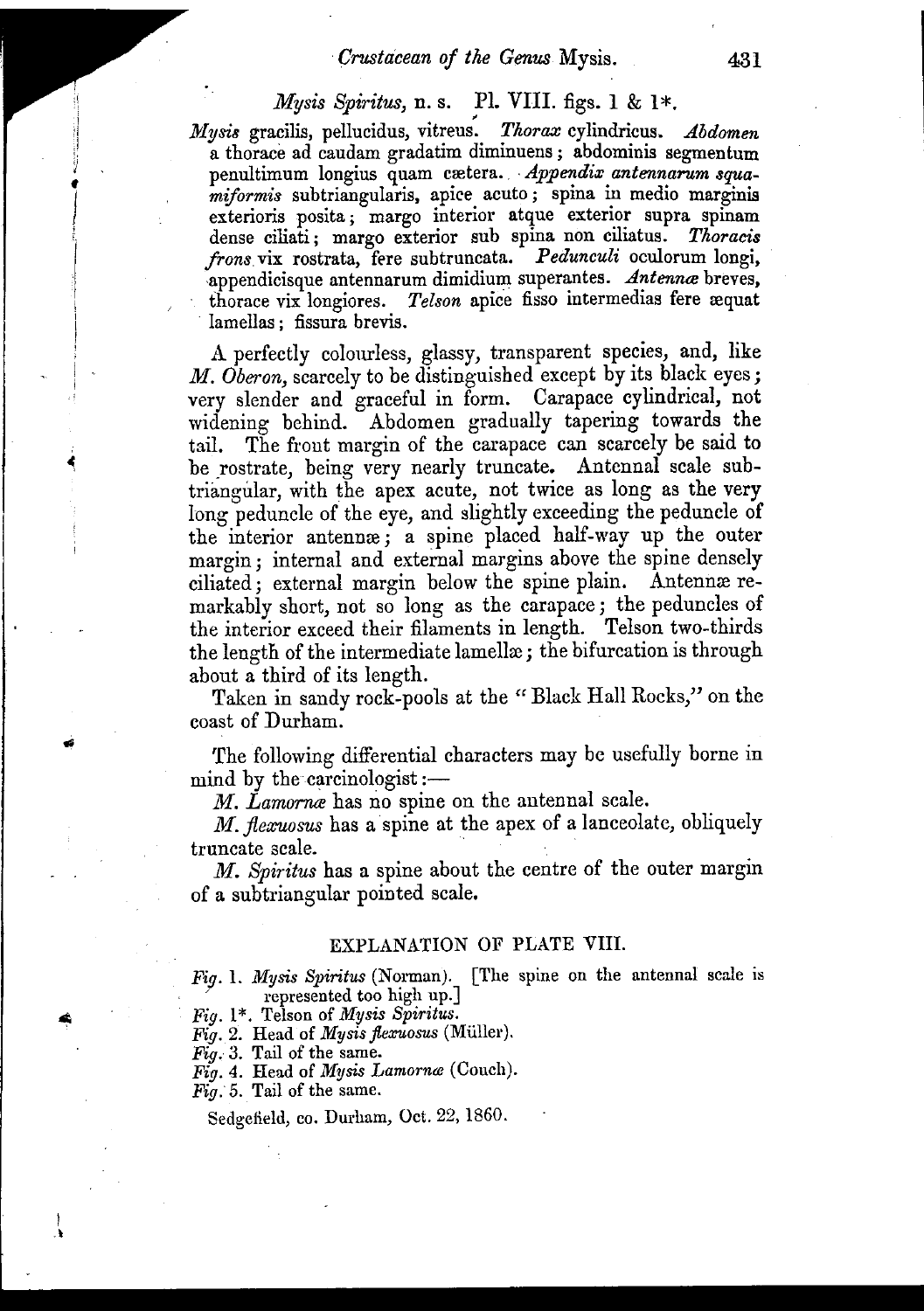## *Mysis Spiritus,* n. s. Pl. VIII. figs. 1 & 1\*.

*lrly8is* gracilis, pellucidus, vitreus: *Thorax* cylindricus. *Abdomen* a thorace ad caudam gradatim diminuens; abdominis segmentum penultimum longius quam cretera. . *Appendix antennarum squa. miformis* sub triangularis, apire acuto; spina in medio marginis exterioris posita; margo interior atque exterior supra spinam dense ciliati; margo exterior sub spina non ciliatus. *Thoracis frons* vix rostrata, fere subtruncata. *Pedunculi* oculorum longi, appendicisque antennarum dimidium superantes. *Antenna* breves, thorace vix longiores. *Telson* apice fisso intermedias fere æquat . lamellas; fissura brevis.

A perfectly colourless, glassy, transparent species, and, like *M. Oberon,*scarcely to be distinguished except by its black eyes; very slender and graceful in form. Carapace cylindrical, not widening behind. Abdomen gradually tapering towards the tail. The front margin of the carapace can scarcely be said to be rostrate, being very nearly truncate. Antennal scale subtriangular, with the apex acute, not twice as long as the very long peduncle of the eye, and slightly exceeding the peduncle of the interior antennre; a spine placed half.way up the outer margin; internal and external margins above the spine densely ciliated; external margin below the spine plain. Antennæ remarkably short, not so long as the carapace; the peduncles of the interior exceed their filaments in length. Telson two-thirds the length of the intermediate lamellæ; the bifurcation is through about a third of its length.

Taken in sandy rock-pools at the "Black Hall Rocks," on the coast of Durham.

'fhe following differential characters may be usefully borne in mind by the carcinologist  $:$   $-$ 

*M. Lamorrue* has no spine on the antennal scale.

*M. jlexuosus* has a spine at the apex of a lanceolate, obliquely truncate scale.

*M. Spiritus* has a spine about the centre of the outer margin of a subtriangular pointed scale.

## EXPLANATION OF PLATE VIII.

*Fig.* 1. *Mysis Spiritus* (Norman). [The spine on the antennal scale is represented too high up.]

- *Hg.* 1\*. Telson of *Mysis Spiritus.*
- *Fig.* 2. Head of *Mysis flexuosus* (Muller).
- *Fig.* 3. Tail of the same.
- *Fig.* 4. Head of *Mysis Lamorna* (Couch).
- *Fig.* 5. Tail of the same.

Sedgefield, co. Durham, Oct. 22, 1860.